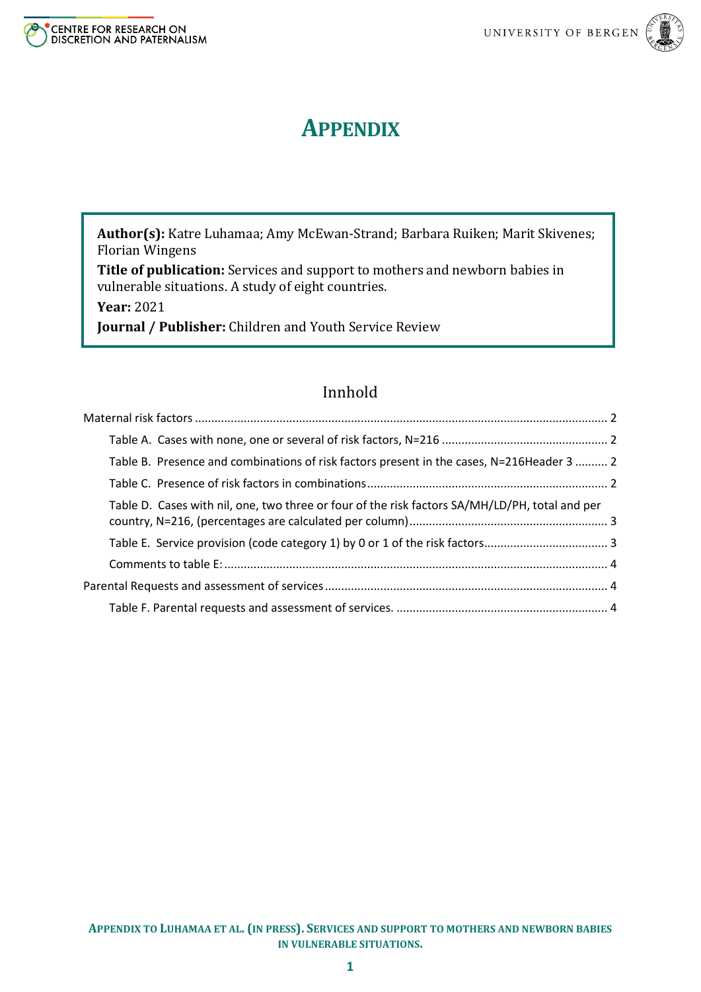

# **APPENDIX**

**Author(s):** Katre Luhamaa; Amy McEwan-Strand; Barbara Ruiken; Marit Skivenes; Florian Wingens

**Title of publication:** Services and support to mothers and newborn babies in vulnerable situations. A study of eight countries.

**Year:** 2021

**Journal / Publisher:** Children and Youth Service Review

# Innhold

| Table B. Presence and combinations of risk factors present in the cases, N=216Header 3  2      |  |
|------------------------------------------------------------------------------------------------|--|
|                                                                                                |  |
| Table D. Cases with nil, one, two three or four of the risk factors SA/MH/LD/PH, total and per |  |
|                                                                                                |  |
|                                                                                                |  |
|                                                                                                |  |
|                                                                                                |  |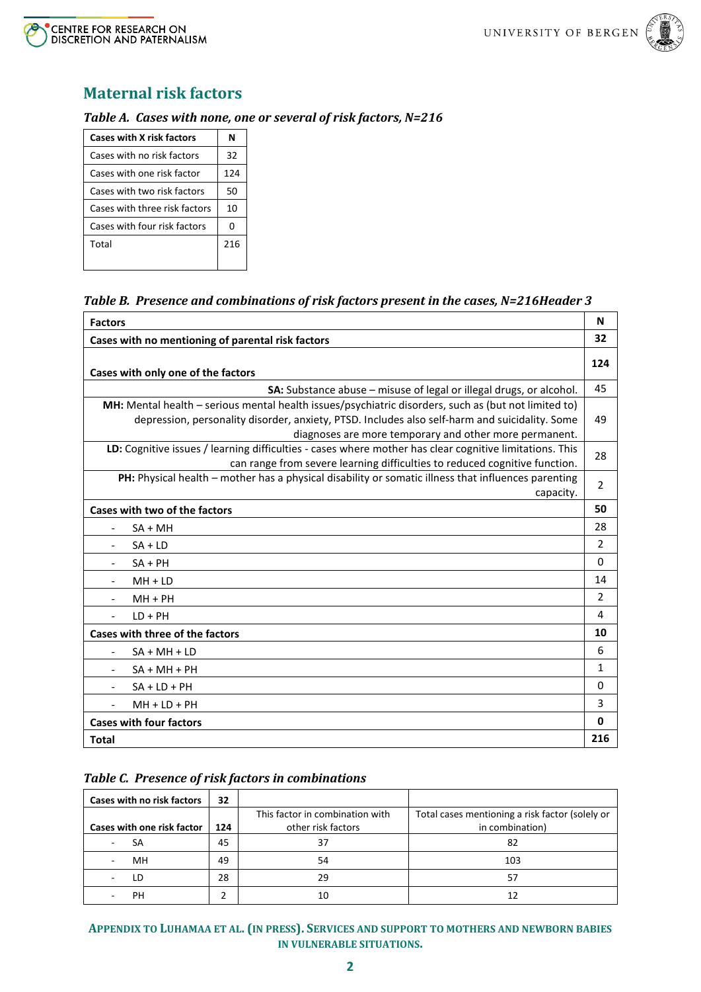



# <span id="page-1-0"></span>**Maternal risk factors**

#### <span id="page-1-1"></span>*Table A. Cases with none, one or several of risk factors, N=216*

| <b>Cases with X risk factors</b> | N   |
|----------------------------------|-----|
| Cases with no risk factors       | 32  |
| Cases with one risk factor       | 124 |
| Cases with two risk factors      | 50  |
| Cases with three risk factors    | 10  |
| Cases with four risk factors     | 0   |
| Total                            | 216 |

### <span id="page-1-2"></span>*Table B. Presence and combinations of risk factors present in the cases, N=216Header 3*

| <b>Factors</b>                                                                                                                                                                                                                                                   | N              |  |  |  |
|------------------------------------------------------------------------------------------------------------------------------------------------------------------------------------------------------------------------------------------------------------------|----------------|--|--|--|
| Cases with no mentioning of parental risk factors                                                                                                                                                                                                                | 32             |  |  |  |
| Cases with only one of the factors                                                                                                                                                                                                                               | 124            |  |  |  |
| SA: Substance abuse – misuse of legal or illegal drugs, or alcohol.                                                                                                                                                                                              | 45             |  |  |  |
| MH: Mental health - serious mental health issues/psychiatric disorders, such as (but not limited to)<br>depression, personality disorder, anxiety, PTSD. Includes also self-harm and suicidality. Some<br>diagnoses are more temporary and other more permanent. |                |  |  |  |
| LD: Cognitive issues / learning difficulties - cases where mother has clear cognitive limitations. This<br>can range from severe learning difficulties to reduced cognitive function.                                                                            | 28             |  |  |  |
| PH: Physical health - mother has a physical disability or somatic illness that influences parenting<br>capacity.                                                                                                                                                 | 2              |  |  |  |
| Cases with two of the factors                                                                                                                                                                                                                                    | 50             |  |  |  |
| $SA + MH$                                                                                                                                                                                                                                                        | 28             |  |  |  |
| $SA + LD$                                                                                                                                                                                                                                                        | $\overline{2}$ |  |  |  |
| $SA + PH$                                                                                                                                                                                                                                                        | 0              |  |  |  |
| $MH + LD$                                                                                                                                                                                                                                                        | 14             |  |  |  |
| $MH + PH$                                                                                                                                                                                                                                                        | $\overline{2}$ |  |  |  |
| $LD + PH$                                                                                                                                                                                                                                                        | 4              |  |  |  |
| Cases with three of the factors                                                                                                                                                                                                                                  | 10             |  |  |  |
| $SA + MH + LD$<br>$\blacksquare$                                                                                                                                                                                                                                 | 6              |  |  |  |
| $SA + MH + PH$                                                                                                                                                                                                                                                   | $\mathbf{1}$   |  |  |  |
| $SA + LD + PH$<br>$\overline{\phantom{a}}$                                                                                                                                                                                                                       | 0              |  |  |  |
| $MH + LD + PH$                                                                                                                                                                                                                                                   | 3              |  |  |  |
| <b>Cases with four factors</b>                                                                                                                                                                                                                                   | 0              |  |  |  |
| <b>Total</b>                                                                                                                                                                                                                                                     | 216            |  |  |  |

#### <span id="page-1-3"></span>*Table C. Presence of risk factors in combinations*

| <b>Cases with no risk factors</b> | 32  |                                 |                                                 |
|-----------------------------------|-----|---------------------------------|-------------------------------------------------|
|                                   |     | This factor in combination with | Total cases mentioning a risk factor (solely or |
| <b>Cases with one risk factor</b> | 124 | other risk factors              | in combination)                                 |
| SA                                | 45  | 37                              | 82                                              |
| MH                                | 49  | 54                              | 103                                             |
| l D                               | 28  | 29                              | 57                                              |
| PН                                |     |                                 |                                                 |

**APPENDIX TO LUHAMAA ET AL. (IN PRESS). SERVICES AND SUPPORT TO MOTHERS AND NEWBORN BABIES IN VULNERABLE SITUATIONS.**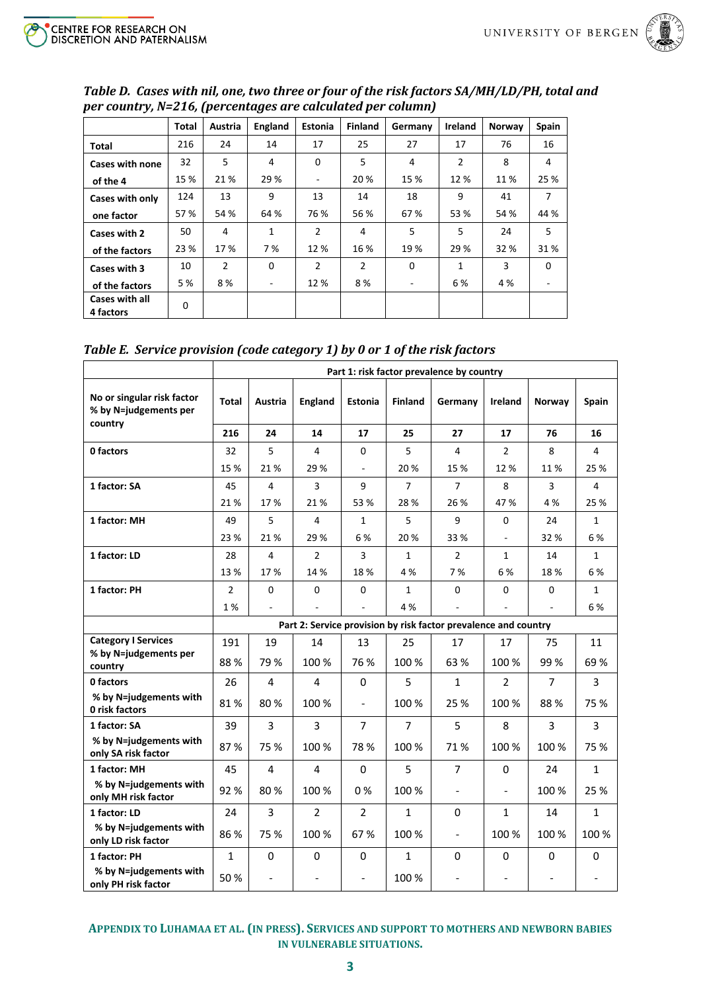

| per country, N=210, [percentages are calculated per column) |              |                |             |                          |                |          |                |        |                |  |
|-------------------------------------------------------------|--------------|----------------|-------------|--------------------------|----------------|----------|----------------|--------|----------------|--|
|                                                             | <b>Total</b> | Austria        | England     | Estonia                  | <b>Finland</b> | Germany  | <b>Ireland</b> | Norway | <b>Spain</b>   |  |
| Total                                                       | 216          | 24             | 14          | 17                       | 25             | 27       | 17             | 76     | 16             |  |
| <b>Cases with none</b>                                      | 32           | 5              | 4           | 0                        | 5              | 4        | 2              | 8      | 4              |  |
| of the 4                                                    | 15 %         | 21%            | 29 %        | $\overline{\phantom{0}}$ | 20 %           | 15 %     | 12 %           | 11 %   | 25 %           |  |
| Cases with only                                             | 124          | 13             | 9           | 13                       | 14             | 18       | 9              | 41     | $\overline{7}$ |  |
| one factor                                                  | 57 %         | 54 %           | 64 %        | 76 %                     | 56 %           | 67%      | 53 %           | 54 %   | 44 %           |  |
| Cases with 2                                                | 50           | 4              | $\mathbf 1$ | $\overline{2}$           | 4              | 5        | 5              | 24     | 5              |  |
| of the factors                                              | 23 %         | 17%            | 7 %         | 12 %                     | 16 %           | 19%      | 29 %           | 32 %   | 31%            |  |
| Cases with 3                                                | 10           | $\overline{2}$ | $\Omega$    | $\mathcal{P}$            | $\overline{2}$ | $\Omega$ | 1              | 3      | $\Omega$       |  |
| of the factors                                              | 5 %          | 8%             | ٠           | 12%                      | 8%             | Ξ.       | 6 %            | 4 %    |                |  |
| <b>Cases with all</b><br>4 factors                          | 0            |                |             |                          |                |          |                |        |                |  |

<span id="page-2-0"></span>*Table D. Cases with nil, one, two three or four of the risk factors SA/MH/LD/PH, total and per country, N=216, (percentages are calculated per column)*

<span id="page-2-1"></span>

|  | Table E. Service provision (code category 1) by 0 or 1 of the risk factors |  |  |
|--|----------------------------------------------------------------------------|--|--|
|  |                                                                            |  |  |

|                                                                | Part 1: risk factor prevalence by country |                              |                |                |                |                                                                 |                          |                              |              |
|----------------------------------------------------------------|-------------------------------------------|------------------------------|----------------|----------------|----------------|-----------------------------------------------------------------|--------------------------|------------------------------|--------------|
| No or singular risk factor<br>% by N=judgements per<br>country | <b>Total</b>                              | Austria                      | <b>England</b> | <b>Estonia</b> | <b>Finland</b> | Germany                                                         | <b>Ireland</b>           | Norway                       | Spain        |
|                                                                | 216                                       | 24                           | 14             | 17             | 25             | 27                                                              | 17                       | 76                           | 16           |
| 0 factors                                                      | 32                                        | 5                            | 4              | 0              | 5              | 4                                                               | $\overline{2}$           | 8                            | 4            |
|                                                                | 15 %                                      | 21%                          | 29 %           | $\mathbb{L}$   | 20%            | 15 %                                                            | 12%                      | 11%                          | 25 %         |
| 1 factor: SA                                                   | 45                                        | 4                            | 3              | 9              | $\overline{7}$ | $\overline{7}$                                                  | 8                        | 3                            | 4            |
|                                                                | 21%                                       | 17%                          | 21%            | 53 %           | 28%            | 26 %                                                            | 47 %                     | 4 %                          | 25 %         |
| 1 factor: MH                                                   | 49                                        | 5                            | 4              | $\mathbf{1}$   | 5              | 9                                                               | $\Omega$                 | 24                           | $\mathbf{1}$ |
|                                                                | 23 %                                      | 21 %                         | 29 %           | 6%             | 20%            | 33 %                                                            | $\overline{\phantom{a}}$ | 32%                          | 6%           |
| 1 factor: LD                                                   | 28                                        | $\overline{4}$               | $\overline{2}$ | 3              | $\mathbf{1}$   | $\overline{2}$                                                  | $\mathbf{1}$             | 14                           | $\mathbf{1}$ |
|                                                                | 13 %                                      | 17%                          | 14 %           | 18%            | 4 %            | 7%                                                              | 6%                       | 18%                          | 6%           |
| 1 factor: PH                                                   | $\overline{2}$                            | 0                            | $\mathbf 0$    | $\mathbf 0$    | $\mathbf{1}$   | $\mathbf 0$                                                     | $\Omega$                 | $\mathbf 0$                  | $\mathbf{1}$ |
|                                                                | 1%                                        | $\overline{\phantom{a}}$     |                | $\sim$         | 4 %            | $\overline{\phantom{a}}$                                        | $\bar{\phantom{a}}$      | $\sim$                       | 6%           |
|                                                                |                                           |                              |                |                |                | Part 2: Service provision by risk factor prevalence and country |                          |                              |              |
| <b>Category I Services</b>                                     | 191                                       | 19                           | 14             | 13             | 25             | 17                                                              | 17                       | 75                           | 11           |
| % by N=judgements per<br>country                               | 88%                                       | 79 %                         | 100 %          | 76 %           | 100 %          | 63 %                                                            | 100 %                    | 99 %                         | 69%          |
| 0 factors                                                      | 26                                        | $\overline{4}$               | 4              | 0              | 5              | $\mathbf{1}$                                                    | $\overline{2}$           | $\overline{7}$               | 3            |
| % by N=judgements with<br>0 risk factors                       | 81%                                       | 80%                          | 100 %          | $\blacksquare$ | 100 %          | 25 %                                                            | 100 %                    | 88%                          | 75 %         |
| 1 factor: SA                                                   | 39                                        | 3                            | 3              | $\overline{7}$ | $\overline{7}$ | 5                                                               | 8                        | 3                            | 3            |
| % by N=judgements with<br>only SA risk factor                  | 87%                                       | 75 %                         | 100 %          | 78 %           | 100 %          | 71%                                                             | 100 %                    | 100 %                        | 75 %         |
| 1 factor: MH                                                   | 45                                        | $\overline{\mathbf{4}}$      | $\overline{4}$ | 0              | 5              | $\overline{7}$                                                  | 0                        | 24                           | $\mathbf{1}$ |
| % by N=judgements with<br>only MH risk factor                  | 92%                                       | 80%                          | 100 %          | 0%             | 100 %          | $\overline{\phantom{a}}$                                        | $\overline{\phantom{0}}$ | 100 %                        | 25 %         |
| 1 factor: LD                                                   | 24                                        | 3                            | $\overline{2}$ | $\overline{2}$ | $\mathbf{1}$   | 0                                                               | $\mathbf{1}$             | 14                           | $\mathbf{1}$ |
| % by N=judgements with<br>only LD risk factor                  | 86 %                                      | 75 %                         | 100 %          | 67%            | 100 %          | $\frac{1}{2}$                                                   | 100 %                    | 100 %                        | 100 %        |
| 1 factor: PH                                                   | $\mathbf{1}$                              | 0                            | 0              | 0              | $\mathbf{1}$   | 0                                                               | 0                        | 0                            | $\mathbf 0$  |
| % by N=judgements with<br>only PH risk factor                  | 50%                                       | $\qquad \qquad \blacksquare$ |                | $\blacksquare$ | 100 %          | $\qquad \qquad \blacksquare$                                    |                          | $\qquad \qquad \blacksquare$ |              |

**APPENDIX TO LUHAMAA ET AL. (IN PRESS). SERVICES AND SUPPORT TO MOTHERS AND NEWBORN BABIES IN VULNERABLE SITUATIONS.**